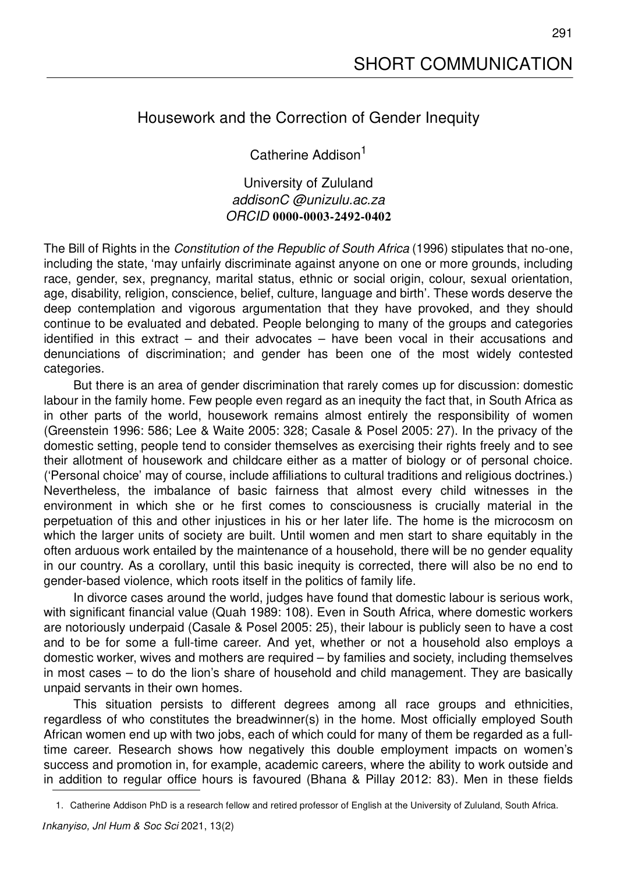## Housework and the Correction of Gender Inequity

Catherine Addison<sup>1</sup>

University of Zululand *addisonC @unizulu.ac.za ORCID* **0000-0003-2492-0402**

The Bill of Rights in the *Constitution of the Republic of South Africa* (1996) stipulates that no-one, including the state, 'may unfairly discriminate against anyone on one or more grounds, including race, gender, sex, pregnancy, marital status, ethnic or social origin, colour, sexual orientation, age, disability, religion, conscience, belief, culture, language and birth'. These words deserve the deep contemplation and vigorous argumentation that they have provoked, and they should continue to be evaluated and debated. People belonging to many of the groups and categories identified in this extract – and their advocates – have been vocal in their accusations and denunciations of discrimination; and gender has been one of the most widely contested categories.

But there is an area of gender discrimination that rarely comes up for discussion: domestic labour in the family home. Few people even regard as an inequity the fact that, in South Africa as in other parts of the world, housework remains almost entirely the responsibility of women (Greenstein 1996: 586; Lee & Waite 2005: 328; Casale & Posel 2005: 27). In the privacy of the domestic setting, people tend to consider themselves as exercising their rights freely and to see their allotment of housework and childcare either as a matter of biology or of personal choice. ('Personal choice' may of course, include affiliations to cultural traditions and religious doctrines.) Nevertheless, the imbalance of basic fairness that almost every child witnesses in the environment in which she or he first comes to consciousness is crucially material in the perpetuation of this and other injustices in his or her later life. The home is the microcosm on which the larger units of society are built. Until women and men start to share equitably in the often arduous work entailed by the maintenance of a household, there will be no gender equality in our country. As a corollary, until this basic inequity is corrected, there will also be no end to gender-based violence, which roots itself in the politics of family life.

In divorce cases around the world, judges have found that domestic labour is serious work, with significant financial value (Quah 1989: 108). Even in South Africa, where domestic workers are notoriously underpaid (Casale & Posel 2005: 25), their labour is publicly seen to have a cost and to be for some a full-time career. And yet, whether or not a household also employs a domestic worker, wives and mothers are required – by families and society, including themselves in most cases – to do the lion's share of household and child management. They are basically unpaid servants in their own homes.

This situation persists to different degrees among all race groups and ethnicities, regardless of who constitutes the breadwinner(s) in the home. Most officially employed South African women end up with two jobs, each of which could for many of them be regarded as a fulltime career. Research shows how negatively this double employment impacts on women's success and promotion in, for example, academic careers, where the ability to work outside and in addition to regular office hours is favoured (Bhana & Pillay 2012: 83). Men in these fields

<sup>1.</sup> Catherine Addison PhD is a research fellow and retired professor of English at the University of Zululand, South Africa.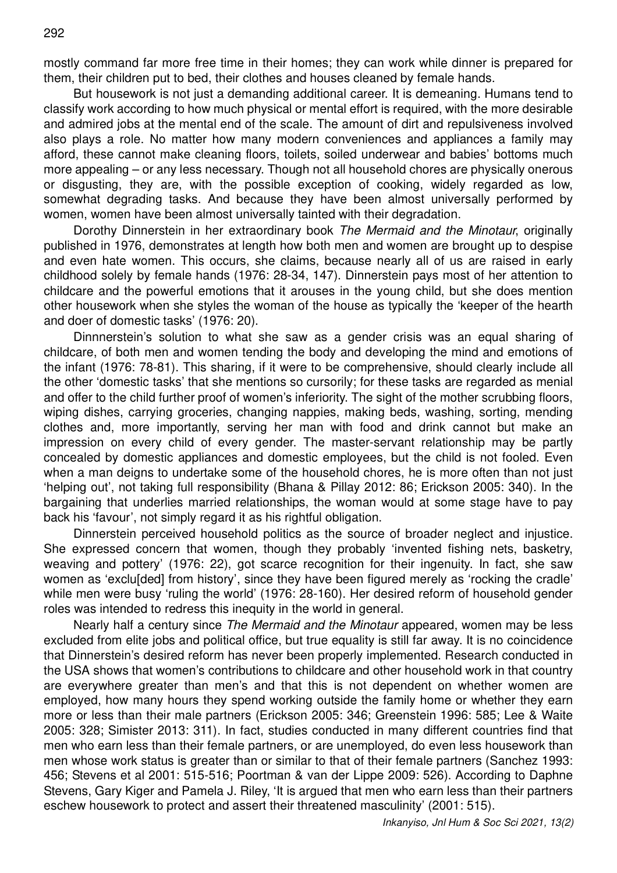mostly command far more free time in their homes; they can work while dinner is prepared for them, their children put to bed, their clothes and houses cleaned by female hands.

But housework is not just a demanding additional career. It is demeaning. Humans tend to classify work according to how much physical or mental effort is required, with the more desirable and admired jobs at the mental end of the scale. The amount of dirt and repulsiveness involved also plays a role. No matter how many modern conveniences and appliances a family may afford, these cannot make cleaning floors, toilets, soiled underwear and babies' bottoms much more appealing – or any less necessary. Though not all household chores are physically onerous or disgusting, they are, with the possible exception of cooking, widely regarded as low, somewhat degrading tasks. And because they have been almost universally performed by women, women have been almost universally tainted with their degradation.

Dorothy Dinnerstein in her extraordinary book *The Mermaid and the Minotaur*, originally published in 1976, demonstrates at length how both men and women are brought up to despise and even hate women. This occurs, she claims, because nearly all of us are raised in early childhood solely by female hands (1976: 28-34, 147). Dinnerstein pays most of her attention to childcare and the powerful emotions that it arouses in the young child, but she does mention other housework when she styles the woman of the house as typically the 'keeper of the hearth and doer of domestic tasks' (1976: 20).

Dinnnerstein's solution to what she saw as a gender crisis was an equal sharing of childcare, of both men and women tending the body and developing the mind and emotions of the infant (1976: 78-81). This sharing, if it were to be comprehensive, should clearly include all the other 'domestic tasks' that she mentions so cursorily; for these tasks are regarded as menial and offer to the child further proof of women's inferiority. The sight of the mother scrubbing floors, wiping dishes, carrying groceries, changing nappies, making beds, washing, sorting, mending clothes and, more importantly, serving her man with food and drink cannot but make an impression on every child of every gender. The master-servant relationship may be partly concealed by domestic appliances and domestic employees, but the child is not fooled. Even when a man deigns to undertake some of the household chores, he is more often than not just 'helping out', not taking full responsibility (Bhana & Pillay 2012: 86; Erickson 2005: 340). In the bargaining that underlies married relationships, the woman would at some stage have to pay back his 'favour', not simply regard it as his rightful obligation.

Dinnerstein perceived household politics as the source of broader neglect and injustice. She expressed concern that women, though they probably 'invented fishing nets, basketry, weaving and pottery' (1976: 22), got scarce recognition for their ingenuity. In fact, she saw women as 'exclu[ded] from history', since they have been figured merely as 'rocking the cradle' while men were busy 'ruling the world' (1976: 28-160). Her desired reform of household gender roles was intended to redress this inequity in the world in general.

Nearly half a century since *The Mermaid and the Minotaur* appeared, women may be less excluded from elite jobs and political office, but true equality is still far away. It is no coincidence that Dinnerstein's desired reform has never been properly implemented. Research conducted in the USA shows that women's contributions to childcare and other household work in that country are everywhere greater than men's and that this is not dependent on whether women are employed, how many hours they spend working outside the family home or whether they earn more or less than their male partners (Erickson 2005: 346; Greenstein 1996: 585; Lee & Waite 2005: 328; Simister 2013: 311). In fact, studies conducted in many different countries find that men who earn less than their female partners, or are unemployed, do even less housework than men whose work status is greater than or similar to that of their female partners (Sanchez 1993: 456; Stevens et al 2001: 515-516; Poortman & van der Lippe 2009: 526). According to Daphne Stevens, Gary Kiger and Pamela J. Riley, 'It is argued that men who earn less than their partners eschew housework to protect and assert their threatened masculinity' (2001: 515).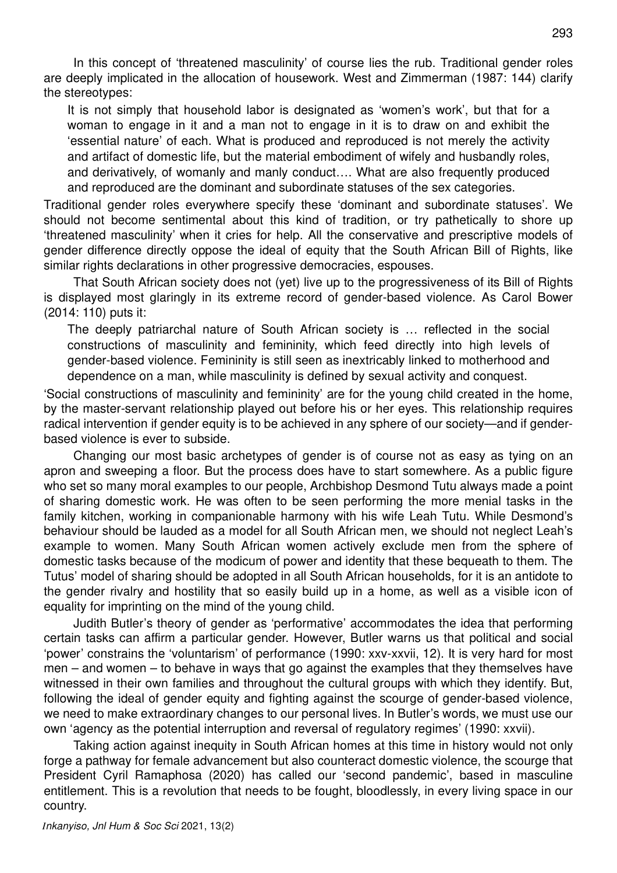In this concept of 'threatened masculinity' of course lies the rub. Traditional gender roles are deeply implicated in the allocation of housework. West and Zimmerman (1987: 144) clarify the stereotypes:

It is not simply that household labor is designated as 'women's work', but that for a woman to engage in it and a man not to engage in it is to draw on and exhibit the 'essential nature' of each. What is produced and reproduced is not merely the activity and artifact of domestic life, but the material embodiment of wifely and husbandly roles, and derivatively, of womanly and manly conduct…. What are also frequently produced and reproduced are the dominant and subordinate statuses of the sex categories.

Traditional gender roles everywhere specify these 'dominant and subordinate statuses'. We should not become sentimental about this kind of tradition, or try pathetically to shore up 'threatened masculinity' when it cries for help. All the conservative and prescriptive models of gender difference directly oppose the ideal of equity that the South African Bill of Rights, like similar rights declarations in other progressive democracies, espouses.

That South African society does not (yet) live up to the progressiveness of its Bill of Rights is displayed most glaringly in its extreme record of gender-based violence. As Carol Bower (2014: 110) puts it:

The deeply patriarchal nature of South African society is … reflected in the social constructions of masculinity and femininity, which feed directly into high levels of gender-based violence. Femininity is still seen as inextricably linked to motherhood and dependence on a man, while masculinity is defined by sexual activity and conquest.

'Social constructions of masculinity and femininity' are for the young child created in the home, by the master-servant relationship played out before his or her eyes. This relationship requires radical intervention if gender equity is to be achieved in any sphere of our society—and if genderbased violence is ever to subside.

Changing our most basic archetypes of gender is of course not as easy as tying on an apron and sweeping a floor. But the process does have to start somewhere. As a public figure who set so many moral examples to our people, Archbishop Desmond Tutu always made a point of sharing domestic work. He was often to be seen performing the more menial tasks in the family kitchen, working in companionable harmony with his wife Leah Tutu. While Desmond's behaviour should be lauded as a model for all South African men, we should not neglect Leah's example to women. Many South African women actively exclude men from the sphere of domestic tasks because of the modicum of power and identity that these bequeath to them. The Tutus' model of sharing should be adopted in all South African households, for it is an antidote to the gender rivalry and hostility that so easily build up in a home, as well as a visible icon of equality for imprinting on the mind of the young child.

Judith Butler's theory of gender as 'performative' accommodates the idea that performing certain tasks can affirm a particular gender. However, Butler warns us that political and social 'power' constrains the 'voluntarism' of performance (1990: xxv-xxvii, 12). It is very hard for most men – and women – to behave in ways that go against the examples that they themselves have witnessed in their own families and throughout the cultural groups with which they identify. But, following the ideal of gender equity and fighting against the scourge of gender-based violence, we need to make extraordinary changes to our personal lives. In Butler's words, we must use our own 'agency as the potential interruption and reversal of regulatory regimes' (1990: xxvii).

Taking action against inequity in South African homes at this time in history would not only forge a pathway for female advancement but also counteract domestic violence, the scourge that President Cyril Ramaphosa (2020) has called our 'second pandemic', based in masculine entitlement. This is a revolution that needs to be fought, bloodlessly, in every living space in our country.